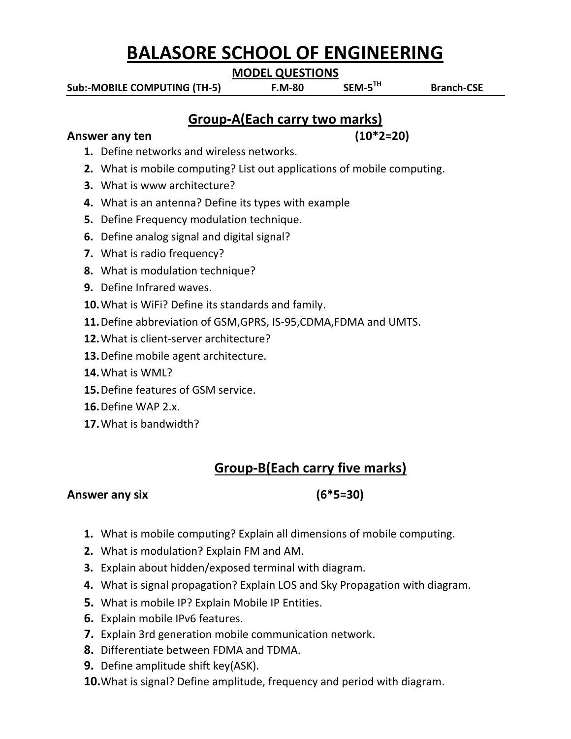# **BALASORE SCHOOL OF ENGINEERING**

**MODEL QUESTIONS**

**Sub:-MOBILE COMPUTING (TH-5) F.M-80** 

SEM-5<sup>TH</sup>

 **Branch-CSE**

## **Group-A(Each carry two marks)**

#### Answer any ten (10<sup>\*</sup>2=20)

- **1.** Define networks and wireless networks.
- **2.** What is mobile computing? List out applications of mobile computing.
- **3.** What is www architecture?
- **4.** What is an antenna? Define its types with example
- **5.** Define Frequency modulation technique.
- **6.** Define analog signal and digital signal?
- **7.** What is radio frequency?
- **8.** What is modulation technique?
- **9.** Define Infrared waves.
- **10.**What is WiFi? Define its standards and family.
- **11.**Define abbreviation of GSM,GPRS, IS-95,CDMA,FDMA and UMTS.
- **12.**What is client-server architecture?
- **13.**Define mobile agent architecture.
- **14.**What is WML?
- **15.**Define features of GSM service.
- **16.**Define WAP 2.x.
- **17.**What is bandwidth?

# **Group-B(Each carry five marks)**

### **Answer any six (6\*5=30)**

- **1.** What is mobile computing? Explain all dimensions of mobile computing.
- **2.** What is modulation? Explain FM and AM.
- **3.** Explain about hidden/exposed terminal with diagram.
- **4.** What is signal propagation? Explain LOS and Sky Propagation with diagram.
- **5.** What is mobile IP? Explain Mobile IP Entities.
- **6.** Explain mobile IPv6 features.
- **7.** Explain 3rd generation mobile communication network.
- **8.** Differentiate between FDMA and TDMA.
- **9.** Define amplitude shift key(ASK).
- **10.**What is signal? Define amplitude, frequency and period with diagram.